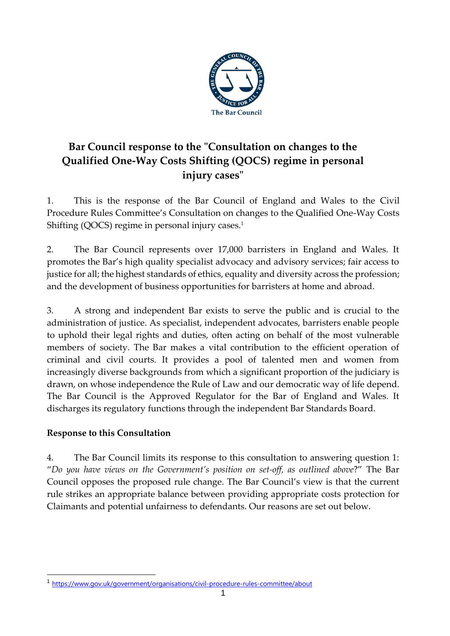

# **Bar Council response to the "Consultation on changes to the Qualified One-Way Costs Shifting (QOCS) regime in personal injury cases"**

1. This is the response of the Bar Council of England and Wales to the Civil Procedure Rules Committee's Consultation on changes to the Qualified One-Way Costs Shifting (QOCS) regime in personal injury cases. $<sup>1</sup>$ </sup>

2. The Bar Council represents over 17,000 barristers in England and Wales. It promotes the Bar's high quality specialist advocacy and advisory services; fair access to justice for all; the highest standards of ethics, equality and diversity across the profession; and the development of business opportunities for barristers at home and abroad.

3. A strong and independent Bar exists to serve the public and is crucial to the administration of justice. As specialist, independent advocates, barristers enable people to uphold their legal rights and duties, often acting on behalf of the most vulnerable members of society. The Bar makes a vital contribution to the efficient operation of criminal and civil courts. It provides a pool of talented men and women from increasingly diverse backgrounds from which a significant proportion of the judiciary is drawn, on whose independence the Rule of Law and our democratic way of life depend. The Bar Council is the Approved Regulator for the Bar of England and Wales. It discharges its regulatory functions through the independent Bar Standards Board.

## **Response to this Consultation**

4. The Bar Council limits its response to this consultation to answering question 1: "*Do you have views on the Government's position on set-off, as outlined above*?" The Bar Council opposes the proposed rule change. The Bar Council's view is that the current rule strikes an appropriate balance between providing appropriate costs protection for Claimants and potential unfairness to defendants. Our reasons are set out below.

<sup>1</sup> <https://www.gov.uk/government/organisations/civil-procedure-rules-committee/about>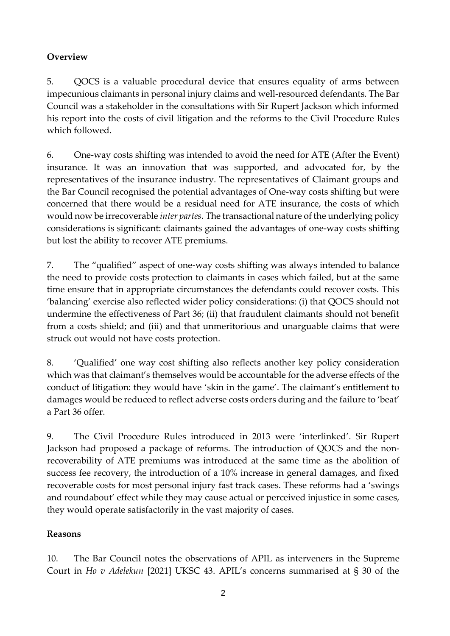# **Overview**

5. QOCS is a valuable procedural device that ensures equality of arms between impecunious claimants in personal injury claims and well-resourced defendants. The Bar Council was a stakeholder in the consultations with Sir Rupert Jackson which informed his report into the costs of civil litigation and the reforms to the Civil Procedure Rules which followed.

6. One-way costs shifting was intended to avoid the need for ATE (After the Event) insurance. It was an innovation that was supported, and advocated for, by the representatives of the insurance industry. The representatives of Claimant groups and the Bar Council recognised the potential advantages of One-way costs shifting but were concerned that there would be a residual need for ATE insurance, the costs of which would now be irrecoverable *inter partes*. The transactional nature of the underlying policy considerations is significant: claimants gained the advantages of one-way costs shifting but lost the ability to recover ATE premiums.

7. The "qualified" aspect of one-way costs shifting was always intended to balance the need to provide costs protection to claimants in cases which failed, but at the same time ensure that in appropriate circumstances the defendants could recover costs. This 'balancing' exercise also reflected wider policy considerations: (i) that QOCS should not undermine the effectiveness of Part 36; (ii) that fraudulent claimants should not benefit from a costs shield; and (iii) and that unmeritorious and unarguable claims that were struck out would not have costs protection.

8. 'Qualified' one way cost shifting also reflects another key policy consideration which was that claimant's themselves would be accountable for the adverse effects of the conduct of litigation: they would have 'skin in the game'. The claimant's entitlement to damages would be reduced to reflect adverse costs orders during and the failure to 'beat' a Part 36 offer.

9. The Civil Procedure Rules introduced in 2013 were 'interlinked'. Sir Rupert Jackson had proposed a package of reforms. The introduction of QOCS and the nonrecoverability of ATE premiums was introduced at the same time as the abolition of success fee recovery, the introduction of a 10% increase in general damages, and fixed recoverable costs for most personal injury fast track cases. These reforms had a 'swings and roundabout' effect while they may cause actual or perceived injustice in some cases, they would operate satisfactorily in the vast majority of cases.

## **Reasons**

10. The Bar Council notes the observations of APIL as interveners in the Supreme Court in *Ho v Adelekun* [2021] UKSC 43. APIL's concerns summarised at § 30 of the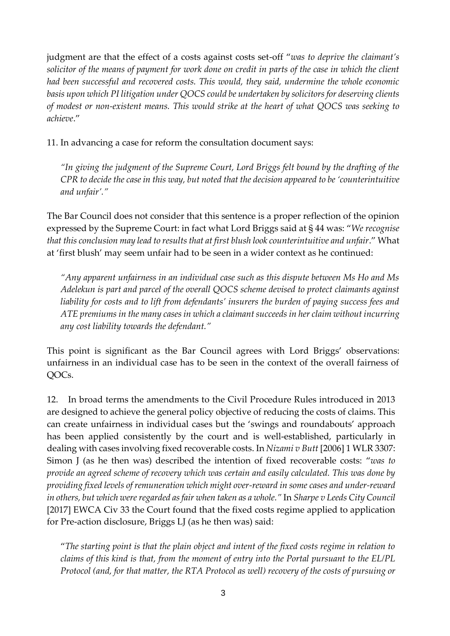judgment are that the effect of a costs against costs set-off "*was to deprive the claimant's solicitor of the means of payment for work done on credit in parts of the case in which the client had been successful and recovered costs. This would, they said, undermine the whole economic basis upon which PI litigation under QOCS could be undertaken by solicitors for deserving clients of modest or non-existent means. This would strike at the heart of what QOCS was seeking to achieve*."

11. In advancing a case for reform the consultation document says:

*"In giving the judgment of the Supreme Court, Lord Briggs felt bound by the drafting of the CPR to decide the case in this way, but noted that the decision appeared to be 'counterintuitive and unfair'."*

The Bar Council does not consider that this sentence is a proper reflection of the opinion expressed by the Supreme Court: in fact what Lord Briggs said at § 44 was: "*We recognise that this conclusion may lead to results that at first blush look counterintuitive and unfair*." What at 'first blush' may seem unfair had to be seen in a wider context as he continued:

*"Any apparent unfairness in an individual case such as this dispute between Ms Ho and Ms Adelekun is part and parcel of the overall QOCS scheme devised to protect claimants against liability for costs and to lift from defendants' insurers the burden of paying success fees and ATE premiums in the many cases in which a claimant succeeds in her claim without incurring any cost liability towards the defendant."*

This point is significant as the Bar Council agrees with Lord Briggs' observations: unfairness in an individual case has to be seen in the context of the overall fairness of QOCs.

12. In broad terms the amendments to the Civil Procedure Rules introduced in 2013 are designed to achieve the general policy objective of reducing the costs of claims. This can create unfairness in individual cases but the 'swings and roundabouts' approach has been applied consistently by the court and is well-established, particularly in dealing with cases involving fixed recoverable costs. In *Nizami v Butt* [2006] 1 WLR 3307: Simon J (as he then was) described the intention of fixed recoverable costs: "*was to provide an agreed scheme of recovery which was certain and easily calculated. This was done by providing fixed levels of remuneration which might over-reward in some cases and under-reward in others, but which were regarded as fair when taken as a whole."* In *Sharpe v Leeds City Council*  [2017] EWCA Civ 33 the Court found that the fixed costs regime applied to application for Pre-action disclosure, Briggs LJ (as he then was) said:

"*The starting point is that the plain object and intent of the fixed costs regime in relation to claims of this kind is that, from the moment of entry into the Portal pursuant to the EL/PL Protocol (and, for that matter, the RTA Protocol as well) recovery of the costs of pursuing or*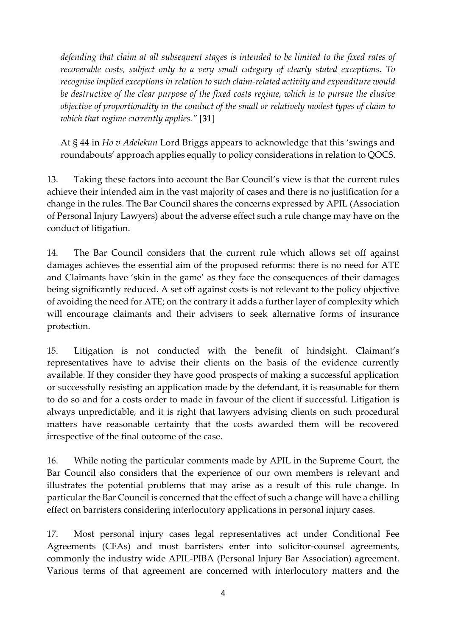*defending that claim at all subsequent stages is intended to be limited to the fixed rates of recoverable costs, subject only to a very small category of clearly stated exceptions. To recognise implied exceptions in relation to such claim-related activity and expenditure would be destructive of the clear purpose of the fixed costs regime, which is to pursue the elusive objective of proportionality in the conduct of the small or relatively modest types of claim to which that regime currently applies."* [**31**]

At § 44 in *Ho v Adelekun* Lord Briggs appears to acknowledge that this 'swings and roundabouts' approach applies equally to policy considerations in relation to QOCS.

13. Taking these factors into account the Bar Council's view is that the current rules achieve their intended aim in the vast majority of cases and there is no justification for a change in the rules. The Bar Council shares the concerns expressed by APIL (Association of Personal Injury Lawyers) about the adverse effect such a rule change may have on the conduct of litigation.

14. The Bar Council considers that the current rule which allows set off against damages achieves the essential aim of the proposed reforms: there is no need for ATE and Claimants have 'skin in the game' as they face the consequences of their damages being significantly reduced. A set off against costs is not relevant to the policy objective of avoiding the need for ATE; on the contrary it adds a further layer of complexity which will encourage claimants and their advisers to seek alternative forms of insurance protection.

15. Litigation is not conducted with the benefit of hindsight. Claimant's representatives have to advise their clients on the basis of the evidence currently available. If they consider they have good prospects of making a successful application or successfully resisting an application made by the defendant, it is reasonable for them to do so and for a costs order to made in favour of the client if successful. Litigation is always unpredictable, and it is right that lawyers advising clients on such procedural matters have reasonable certainty that the costs awarded them will be recovered irrespective of the final outcome of the case.

16. While noting the particular comments made by APIL in the Supreme Court, the Bar Council also considers that the experience of our own members is relevant and illustrates the potential problems that may arise as a result of this rule change. In particular the Bar Council is concerned that the effect of such a change will have a chilling effect on barristers considering interlocutory applications in personal injury cases.

17. Most personal injury cases legal representatives act under Conditional Fee Agreements (CFAs) and most barristers enter into solicitor-counsel agreements, commonly the industry wide APIL-PIBA (Personal Injury Bar Association) agreement. Various terms of that agreement are concerned with interlocutory matters and the